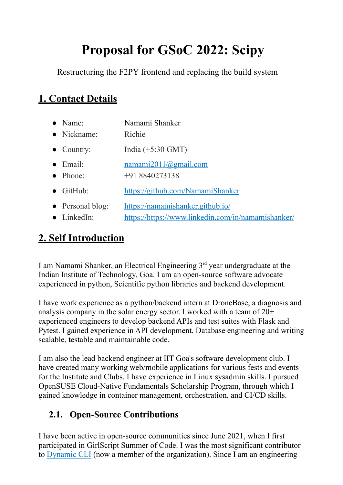# **Proposal for GSoC 2022: Scipy**

Restructuring the F2PY frontend and replacing the build system

# **1. Contact Details**

| $\bullet$ Name:                                 | Namami Shanker                                                                         |
|-------------------------------------------------|----------------------------------------------------------------------------------------|
| • Nickname:                                     | Richie                                                                                 |
| $\bullet$ Country:                              | India $(+5:30$ GMT)                                                                    |
| $\bullet$ Email:<br>• Phone:                    | namani2011@gmail.com<br>$+918840273138$                                                |
| $\bullet$ GitHub:                               | https://github.com/NamamiShanker                                                       |
| $\bullet$ Personal blog:<br>$\bullet$ LinkedIn: | https://namamishanker.github.jo/<br>https://https://www.linkedin.com/in/namamishanker/ |

# **2. Self Introduction**

I am Namami Shanker, an Electrical Engineering 3<sup>rd</sup> year undergraduate at the Indian Institute of Technology, Goa. I am an open-source software advocate experienced in python, Scientific python libraries and backend development.

I have work experience as a python/backend intern at DroneBase, a diagnosis and analysis company in the solar energy sector. I worked with a team of 20+ experienced engineers to develop backend APIs and test suites with Flask and Pytest. I gained experience in API development, Database engineering and writing scalable, testable and maintainable code.

I am also the lead backend engineer at IIT Goa's software development club. I have created many working web/mobile applications for various fests and events for the Institute and Clubs. I have experience in Linux sysadmin skills. I pursued OpenSUSE Cloud-Native Fundamentals Scholarship Program, through which I gained knowledge in container management, orchestration, and CI/CD skills.

# **2.1. Open-Source Contributions**

I have been active in open-source communities since June 2021, when I first participated in GirlScript Summer of Code. I was the most significant contributor to [Dynamic](https://github.com/IndianOpenSourceFoundation/dynamic-cli) CLI (now a member of the organization). Since I am an engineering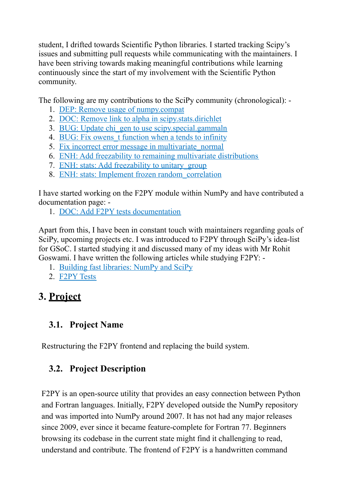student, I drifted towards Scientific Python libraries. I started tracking Scipy's issues and submitting pull requests while communicating with the maintainers. I have been striving towards making meaningful contributions while learning continuously since the start of my involvement with the Scientific Python community.

The following are my contributions to the SciPy community (chronological): -

- 1. DEP: Remove usage of [numpy.compat](https://github.com/scipy/scipy/pull/14009)
- 2. DOC: Remove link to alpha in [scipy.stats.dirichlet](https://github.com/scipy/scipy/pull/14200)
- 3. BUG: Update chi\_gen to use [scipy.special.gammaln](https://github.com/scipy/scipy/pull/15107)
- 4. BUG: Fix owens t [function](https://github.com/scipy/scipy/pull/15272) when a tends to infinity
- 5. Fix incorrect error message in [multivariate\\_normal](https://github.com/scipy/scipy/pull/15579)
- 6. ENH: Add freezability to remaining multivariate [distributions](https://github.com/scipy/scipy/pull/15653)
- 7. ENH: stats: Add freezability to [unitary\\_group](https://github.com/scipy/scipy/pull/15671)
- 8. ENH: stats: Implement frozen [random\\_correlation](https://github.com/scipy/scipy/pull/15681)

I have started working on the F2PY module within NumPy and have contributed a documentation page: -

1. DOC: Add F2PY tests [documentation](https://github.com/numpy/numpy/pull/21330)

Apart from this, I have been in constant touch with maintainers regarding goals of SciPy, upcoming projects etc. I was introduced to F2PY through SciPy's idea-list for GSoC. I started studying it and discussed many of my ideas with Mr Rohit Goswami. I have written the following articles while studying F2PY: -

- 1. Building fast [libraries:](https://namamishanker.github.io/posts/scipy_fortran_f2py/) NumPy and SciPy
- 2. [F2PY](https://namamishanker.github.io/posts/f2py_tests/) Tests

# **3. Project**

# **3.1. Project Name**

Restructuring the F2PY frontend and replacing the build system.

# **3.2. Project Description**

F2PY is an open-source utility that provides an easy connection between Python and Fortran languages. Initially, F2PY developed outside the NumPy repository and was imported into NumPy around 2007. It has not had any major releases since 2009, ever since it became feature-complete for Fortran 77. Beginners browsing its codebase in the current state might find it challenging to read, understand and contribute. The frontend of F2PY is a handwritten command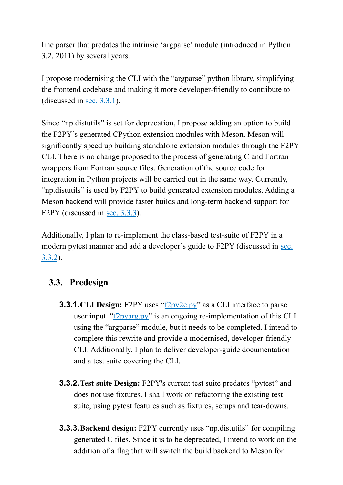line parser that predates the intrinsic 'argparse' module (introduced in Python 3.2, 2011) by several years.

I propose modernising the CLI with the "argparse" python library, simplifying the frontend codebase and making it more developer-friendly to contribute to (discussed in sec. [3.3.1](#page-2-0)).

Since "np.distutils" is set for deprecation, I propose adding an option to build the F2PY's generated CPython extension modules with Meson. Meson will significantly speed up building standalone extension modules through the F2PY CLI. There is no change proposed to the process of generating C and Fortran wrappers from Fortran source files. Generation of the source code for integration in Python projects will be carried out in the same way. Currently, "np.distutils" is used by F2PY to build generated extension modules. Adding a Meson backend will provide faster builds and long-term backend support for F2PY (discussed in sec. [3.3.3](#page-2-1)).

Additionally, I plan to re-implement the class-based test-suite of F2PY in a modern pytest manner and add a developer's guide to F2PY (discussed in [sec.](#page-2-2) [3.3.2](#page-2-2)).

## **3.3. Predesign**

- <span id="page-2-0"></span>**3.3.1.CLI Design:** F2PY uses "[f2py2e.py](https://github.com/HaoZeke/numpy/blob/f2py2eTests/numpy/f2py/f2py2e.py)" as a CLI interface to parse user input. " $\frac{12}{2}y\arg py$ " is an ongoing re-implementation of this CLI using the "argparse" module, but it needs to be completed. I intend to complete this rewrite and provide a modernised, developer-friendly CLI. Additionally, I plan to deliver developer-guide documentation and a test suite covering the CLI.
- <span id="page-2-2"></span>**3.3.2.Test suite Design:** F2PY's current test suite predates "pytest" and does not use fixtures. I shall work on refactoring the existing test suite, using pytest features such as fixtures, setups and tear-downs.
- <span id="page-2-1"></span>**3.3.3.Backend design:** F2PY currently uses "np.distutils" for compiling generated C files. Since it is to be deprecated, I intend to work on the addition of a flag that will switch the build backend to Meson for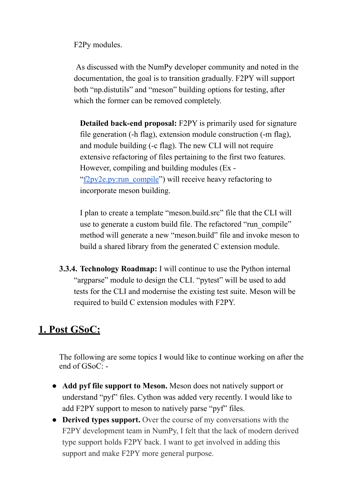F2Py modules.

As discussed with the NumPy developer community and noted in the documentation, the goal is to transition gradually. F2PY will support both "np.distutils" and "meson" building options for testing, after which the former can be removed completely.

**Detailed back-end proposal:** F2PY is primarily used for signature file generation (-h flag), extension module construction (-m flag), and module building (-c flag). The new CLI will not require extensive refactoring of files pertaining to the first two features. However, compiling and building modules (Ex - ["f2py2e.py:run\\_compile](https://github.com/numpy/numpy/blob/main/numpy/f2py/f2py2e.py#L499)") will receive heavy refactoring to incorporate meson building.

I plan to create a template "meson.build.src" file that the CLI will use to generate a custom build file. The refactored "run\_compile" method will generate a new "meson.build" file and invoke meson to build a shared library from the generated C extension module.

**3.3.4. Technology Roadmap:** I will continue to use the Python internal "argparse" module to design the CLI. "pytest" will be used to add tests for the CLI and modernise the existing test suite. Meson will be required to build C extension modules with F2PY.

# **1. Post GSoC:**

The following are some topics I would like to continue working on after the end of GSoC: -

- **Add pyf file support to Meson.** Meson does not natively support or understand "pyf" files. Cython was added very recently. I would like to add F2PY support to meson to natively parse "pyf" files.
- **● Derived types support.** Over the course of my conversations with the F2PY development team in NumPy, I felt that the lack of modern derived type support holds F2PY back. I want to get involved in adding this support and make F2PY more general purpose.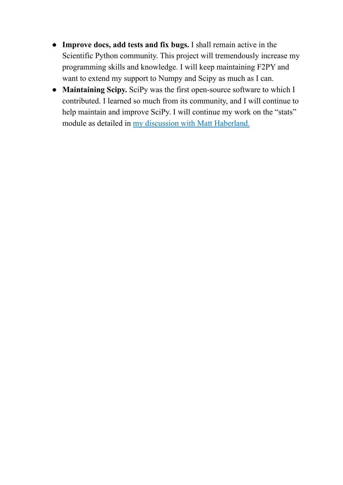- **● Improve docs, add tests and fix bugs.** I shall remain active in the Scientific Python community. This project will tremendously increase my programming skills and knowledge. I will keep maintaining F2PY and want to extend my support to Numpy and Scipy as much as I can.
- **● Maintaining Scipy.** SciPy was the first open-source software to which I contributed. I learned so much from its community, and I will continue to help maintain and improve SciPy. I will continue my work on the "stats" module as detailed in my discussion with Matt [Haberland.](https://github.com/scipy/scipy/pull/15681)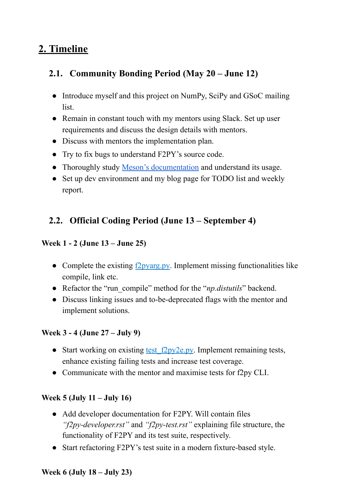# **2. Timeline**

## **2.1. Community Bonding Period (May 20 – June 12)**

- Introduce myself and this project on NumPy, SciPy and GSoC mailing list.
- Remain in constant touch with my mentors using Slack. Set up user requirements and discuss the design details with mentors.
- Discuss with mentors the implementation plan.
- Try to fix bugs to understand F2PY's source code.
- Thoroughly study Meson's [documentation](https://mesonbuild.com/Manual.html) and understand its usage.
- Set up dev environment and my blog page for TODO list and weekly report.

## **2.2. Official Coding Period (June 13 – September 4)**

#### **Week 1 - 2 (June 13 – June 25)**

- Complete the existing **[f2pyarg.py](https://github.com/HaoZeke/numpy/blob/argparse_f2py/numpy/f2py/f2pyarg.py)**. Implement missing functionalities like compile, link etc.
- Refactor the "run\_compile" method for the "*np.distutils*" backend.
- Discuss linking issues and to-be-deprecated flags with the mentor and implement solutions.

#### **Week 3 - 4 (June 27 – July 9)**

- Start working on existing test f2py2e.py. Implement remaining tests, enhance existing failing tests and increase test coverage.
- Communicate with the mentor and maximise tests for f2py CLI.

#### **Week 5 (July 11 – July 16)**

- Add developer documentation for F2PY. Will contain files *"f2py-developer.rst"* and *"f2py-test.rst"* explaining file structure, the functionality of F2PY and its test suite, respectively.
- Start refactoring F2PY's test suite in a modern fixture-based style.

#### **Week 6 (July 18 – July 23)**